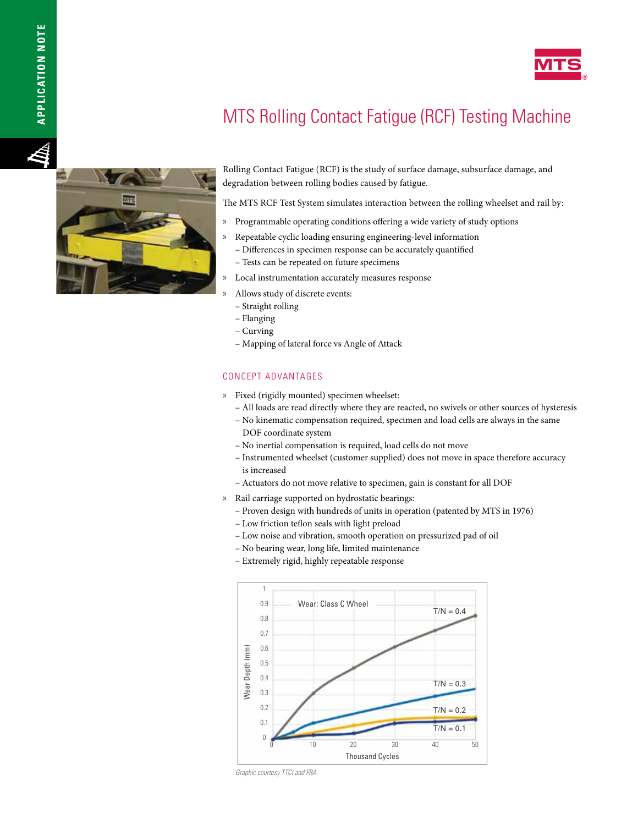

# MTS Rolling Contact Fatigue (RCF) Testing Machine



Rolling Contact Fatigue (RCF) is the study of surface damage, subsurface damage, and degradation between rolling bodies caused by fatigue.

The MTS RCF Test System simulates interaction between the rolling wheelset and rail by:

- » Programmable operating conditions offering a wide variety of study options
- » Repeatable cyclic loading ensuring engineering-level information
	- Differences in specimen response can be accurately quantified
	- Tests can be repeated on future specimens
- » Local instrumentation accurately measures response
	- » Allows study of discrete events:
	- Straight rolling
	- Flanging
	- Curving
	- Mapping of lateral force vs Angle of Attack

### CONCEPT ADVANTAGES

- » Fixed (rigidly mounted) specimen wheelset:
	- All loads are read directly where they are reacted, no swivels or other sources of hysteresis
	- No kinematic compensation required, specimen and load cells are always in the same DOF coordinate system
	- No inertial compensation is required, load cells do not move
	- Instrumented wheelset (customer supplied) does not move in space therefore accuracy is increased
	- Actuators do not move relative to specimen, gain is constant for all DOF
- » Rail carriage supported on hydrostatic bearings:
	- Proven design with hundreds of units in operation (patented by MTS in 1976)
	- Low friction teflon seals with light preload
	- Low noise and vibration, smooth operation on pressurized pad of oil
	- No bearing wear, long life, limited maintenance
	- Extremely rigid, highly repeatable response



*Graphic courtesy TTCI and FRA*